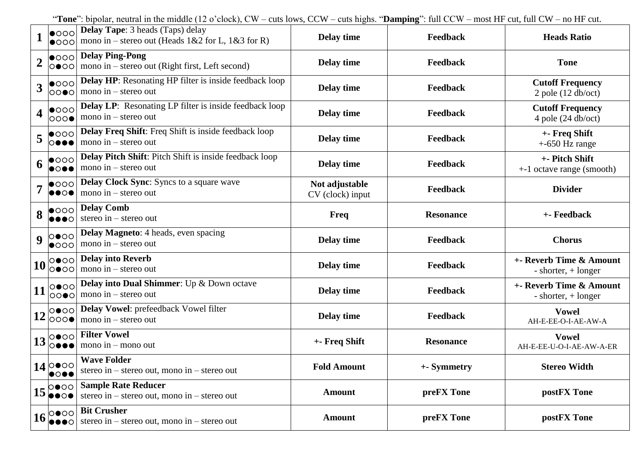"**Tone**": bipolar, neutral in the middle (12 o'clock), CW – cuts lows, CCW – cuts highs. "**Damping**": full CCW – most HF cut, full CW – no HF cut.

|                  | $  \bullet$ 000<br>$  \bullet$ 000                            | <b>Delay Tape:</b> 3 heads (Taps) delay<br>mono in – stereo out (Heads $1&2$ for L, $1&3$ for R) | Delay time                         | Feedback         | <b>Heads Ratio</b>                                      |
|------------------|---------------------------------------------------------------|--------------------------------------------------------------------------------------------------|------------------------------------|------------------|---------------------------------------------------------|
| $\boldsymbol{2}$ | $  \bullet$ 000 $ $<br> 0000                                  | <b>Delay Ping-Pong</b><br>mono in – stereo out (Right first, Left second)                        | Delay time                         | Feedback         | <b>Tone</b>                                             |
| 3                | $\bullet$ 000<br>∣୦୦●୦∣                                       | <b>Delay HP:</b> Resonating HP filter is inside feedback loop<br>mono in $-$ stereo out          | Delay time                         | <b>Feedback</b>  | <b>Cutoff Frequency</b><br>$2$ pole (12 db/oct)         |
| 4                | $  \bullet$ 000<br>000●                                       | <b>Delay LP:</b> Resonating LP filter is inside feedback loop<br>mono in $-$ stereo out          | Delay time                         | <b>Feedback</b>  | <b>Cutoff Frequency</b><br>4 pole $(24 \text{ db/oct})$ |
| 5                | $\bullet$ 000<br>∣○●●●                                        | <b>Delay Freq Shift:</b> Freq Shift is inside feedback loop<br>mono in $-$ stereo out            | Delay time                         | Feedback         | +- Freq Shift<br>$+$ -650 Hz range                      |
| 6                | $\bullet$ 000<br>●○●●                                         | Delay Pitch Shift: Pitch Shift is inside feedback loop<br>mono in $-$ stereo out                 | Delay time                         | <b>Feedback</b>  | +- Pitch Shift<br>+-1 octave range (smooth)             |
| 7                | $ $ 000<br>$\bullet \bullet \circ \bullet$                    | <b>Delay Clock Sync:</b> Syncs to a square wave<br>mono in $-$ stereo out                        | Not adjustable<br>CV (clock) input | Feedback         | <b>Divider</b>                                          |
| 8                | $\bullet$ 000                                                 | <b>Delay Comb</b><br>stereo in $-$ stereo out                                                    | <b>Freq</b>                        | <b>Resonance</b> | +- Feedback                                             |
| $\boldsymbol{9}$ | 0000<br>$\bullet$ 000                                         | <b>Delay Magneto:</b> 4 heads, even spacing<br>mono in $-$ stereo out                            | Delay time                         | Feedback         | <b>Chorus</b>                                           |
| 10               | 0000 <br>0●00                                                 | <b>Delay into Reverb</b><br>mono in $-$ stereo out                                               | Delay time                         | Feedback         | +- Reverb Time & Amount<br>- shorter, $+$ longer        |
| 11               | $ 0 \bullet 00 $<br>$ 00 \bullet 0 $                          | Delay into Dual Shimmer: Up & Down octave<br>mono in $-$ stereo out                              | Delay time                         | <b>Feedback</b>  | +- Reverb Time & Amount<br>- shorter, $+$ longer        |
|                  | ୦●୦୦ <br>$12\overline{ 0000 }$                                | Delay Vowel: prefeedback Vowel filter<br>mono in $-$ stereo out                                  | Delay time                         | <b>Feedback</b>  | <b>Vowel</b><br>AH-E-EE-O-I-AE-AW-A                     |
|                  | $13\begin{vmatrix}0&0&0\\ 0&0&0\end{vmatrix}$                 | <b>Filter Vowel</b><br>mono in $-$ mono out                                                      | +- Freq Shift                      | <b>Resonance</b> | <b>Vowel</b><br>AH-E-EE-U-O-I-AE-AW-A-ER                |
|                  | $14\begin{vmatrix} \text{0000} \\ \text{0000} \end{vmatrix}$  | <b>Wave Folder</b><br>stereo in – stereo out, mono in – stereo out                               | <b>Fold Amount</b>                 | +- Symmetry      | <b>Stereo Width</b>                                     |
|                  |                                                               |                                                                                                  |                                    |                  |                                                         |
| 15 <sup>5</sup>  | 0000<br>∙•⊙•<br>$16\overline{\smash{{\big)}^{\circ}}\,00001}$ | <b>Sample Rate Reducer</b><br>stereo in – stereo out, mono in – stereo out                       | <b>Amount</b>                      | preFX Tone       | postFX Tone                                             |